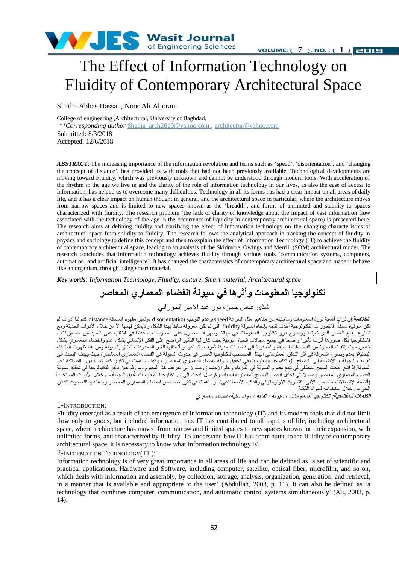

**VOLUME:**  $(7)$ , **NO.** :  $(1)$  **EILE** 

## The Effect of Information Technology on Fluidity of Contemporary Architectural Space

Shatha Abbas Hassan, Noor Ali Aljorani

College of engineering ,Architectural, University of Baghdad.

*\*\*Corresponding author* Shatha\_arch2010@yahoo.com , architectnr@yahoo.com Submitted: 8/3/2018 Accepted: 12/6/2018

*ABSTRACT*: The increasing importance of the information revolution and terms such as 'speed', 'disorientation', and 'changing the concept of distance', has provided us with tools that had not been previously available. Technological developments are moving toward Fluidity, which was previously unknown and cannot be understood through modern tools. With acceleration of the rhythm in the age we live in and the clarity of the role of information technology in our lives, as also the ease of access to information, has helped us to overcome many difficulties. Technology in all its forms has had a clear impact on all areas of daily life, and it has a clear impact on human thought in general, and the architectural space in particular, where the architecture moves from narrow spaces and is limited to new spaces known as the 'breadth', and forms of unlimited and stability to spaces characterized with fluidity. The research problem (the lack of clarity of knowledge about the impact of vast information flow associated with the technology of the age in the occurrence of liquidity in contemporary architectural space) is presented here. The research aims at defining fluidity and clarifying the effect of information technology on the changing characteristics of architectural space from solidity to fluidity. The research follows the analytical approach in tracking the concept of fluidity in physics and sociology to define this concept and then to explain the effect of Information Technology (IT) to achieve the fluidity of contemporary architectural space, leading to an analysis of the Skidmore, Owings and Merrill (SOM) architectural model. The research concludes that information technology achieves fluidity through various tools (communication systems, computers, automation, and artificial intelligence). It has changed the characteristics of contemporary architectural space and made it behave like an organism, through using smart material.

*Key words: Information Technology, Fluidity, culture, Smart material, Architectural space*

### **تكنولوجيا المعلومات وأثرها في سيولة الفضاء المعماري المعاصر**

شذي عباس حسن، نور عبد الامير الجوراني

ا**لخلاصة:**إن تزايد أهمية ثورة المعلومات وماجلبته من مفاهيم مثل السرعة speed،وعدم التوجيه disorientation وتغير مفهوم المسافة distance قدم لنا أدوات لم كن متوفوة سابقاً، فالتطورات التكنولوجية أخذت تتجه بإتجاه السيولة fluidity التي لم تكن معروفة سابقاً بهذا الشكل ولايمكن فهمها الأ من خلال الأدوات الحديثة ومع حسارع إيقاع العصر الذيّ نعيشه ووضوح دور نكنلوجيا المعلومات في حياتنا وسهولة الحصول على المعلومات ساعدتنا في التغلب على العديد من الصعوبات ، فالنكنلّوجيا بكل صورها أثرت تأثيراً واضحاً في جميع مجالات الحياة الْيومية حيث كان لها التأثير الواضح على الفكر الإنساني بشكل عام والفضاء المعماري بشكل خاص حيث إنتقلت العمارة من الفضاءات الضيقة والمحدودة الى فضاءات جديدة تُعرف بإتساعها وبأشكالها الغير المحدودة ، تمتاز بالسيولة ومن هنا ظهرت المشكلة البحثية( بعدم وضوح المعرفة في أثر التدفق المعلوماتي الهائل المصاحب لتكتلوجيا العصر في حدوث السيولة في الفضاء المعماري المعاصر) حيث يهدف البحث الى تعريفُ السيولةُ ، بالإضافةُ الى "بيضاح أنوْ تكللوجيا المعلومات في تحقيق سيولة الفضاء المعماري المعاصر ، وّكيف ساهمت في تُغيير خصائصه من الصلابة نحوّ السيولة إذ اتبع البحث المنفج التحليلي في تتبع مفهرم اليسولة في الفيزياء وعلم الاحتماع وصولا الى تعريف هذا المفهوم ومن ثم بيان تاثير لتكنولوجيا في تحقيق سيولة الفضاء المعمّاري المعاصر وصولا الى تحليل لبعض النماذج المعمارية المعاصر قوصل البحث الى إن تكنلوجيا المعلومات نتُعق السيولة من خلال الأدوات المستخدمة (أنظمة الإتصالات ،الحاسب الألي ،التحريك الأوتوماتيكي والذكاء الإصطناعي)، وساهمت في تغير خصائص الفضا ء المعصاري المعاصر وجعلته يسلك سلوك الكائن الحي من خلال إستخدامه للمواد الذكية

ا**لكلمات المفتاحية**: تكنلوجيا المعلومات ، سيولة ، ثقافة ، مواد ذكية، فضاء معماري

#### 1**-**INTRODUCTION:

Fluidity emerged as a result of the emergence of information technology (IT) and its modern tools that did not limit flow only to goods, but included information too. IT has contributed to all aspects of life, including architectural space, where architecture has moved from narrow and limited spaces to new spaces known for their expansion, with unlimited forms, and characterized by fluidity. To understand how IT has contributed to the fluidity of contemporary architectural space, it is necessary to know what information technology is?

#### 2-INFORMATION TECHNOLOGY( IT ):

Information technology is of very great importance in all areas of life and can be defined as 'a set of scientific and practical applications, Hardware and Software, including computer, satellite, optical fiber, microfilm, and so on, which deals with information and assembly, by collection, storage, analysis, organization, generation, and retrieval, in a manner that is available and appropriate to the user' (Abdullah, 2003, p. 11). It can also be defined as 'a technology that combines computer, communication, and automatic control systems simultaneously' (Ali, 2003, p. 14).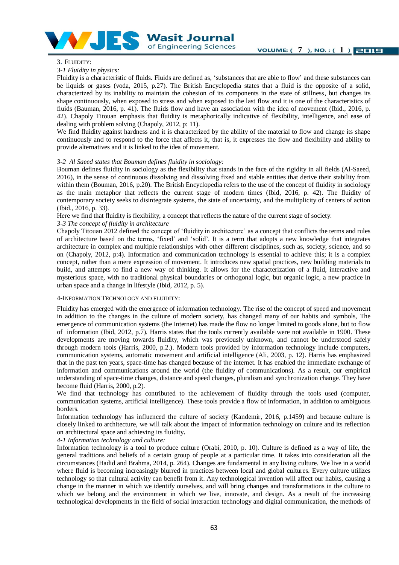

#### 3. FLUIDITY:

#### *3-1 Fluidity in physics:*

Fluidity is a characteristic of fluids. Fluids are defined as, 'substances that are able to flow' and these substances can be liquids or gases (voda, 2015, p.27). The British Encyclopedia states that a fluid is the opposite of a solid, characterized by its inability to maintain the cohesion of its components in the state of stillness, but changes its shape continuously, when exposed to stress and when exposed to the last flow and it is one of the characteristics of fluids (Bauman, 2016, p. 41). The fluids flow and have an association with the idea of movement (Ibid., 2016, p. 42). Chapoly Titouan emphasis that fluidity is metaphorically indicative of flexibility, intelligence, and ease of dealing with problem solving (Chapoly, 2012, p: 11).

We find fluidity against hardness and it is characterized by the ability of the material to flow and change its shape continuously and to respond to the force that affects it, that is, it expresses the flow and flexibility and ability to provide alternatives and it is linked to the idea of movement.

#### *3-2 Al Saeed states that Bouman defines fluidity in sociology:*

Bouman defines fluidity in sociology as the flexibility that stands in the face of the rigidity in all fields (Al-Saeed, 2016), in the sense of continuous dissolving and dissolving fixed and stable entities that derive their stability from within them (Bouman, 2016, p.20). The British Encyclopedia refers to the use of the concept of fluidity in sociology as the main metaphor that reflects the current stage of modern times (Ibid, 2016, p. 42). The fluidity of contemporary society seeks to disintegrate systems, the state of uncertainty, and the multiplicity of centers of action (Ibid., 2016, p. 33).

Here we find that fluidity is flexibility, a concept that reflects the nature of the current stage of society.

#### *3-3 The concept of fluidity in architecture*

Chapoly Titouan 2012 defined the concept of 'fluidity in architecture' as a concept that conflicts the terms and rules of architecture based on the terms, 'fixed' and 'solid'. It is a term that adopts a new knowledge that integrates architecture in complex and multiple relationships with other different disciplines, such as, society, science, and so on (Chapoly, 2012, p:4). Information and communication technology is essential to achieve this; it is a complex concept, rather than a mere expression of movement. It introduces new spatial practices, new building materials to build, and attempts to find a new way of thinking. It allows for the characterization of a fluid, interactive and mysterious space, with no traditional physical boundaries or orthogonal logic, but organic logic, a new practice in urban space and a change in lifestyle (Ibid, 2012, p. 5).

#### 4-INFORMATION TECHNOLOGY AND FLUIDITY:

Fluidity has emerged with the emergence of information technology. The rise of the concept of speed and movement in addition to the changes in the culture of modern society, has changed many of our habits and symbols, The emergence of communication systems (the Internet) has made the flow no longer limited to goods alone, but to flow of information (Ibid, 2012, p.7). Harris states that the tools currently available were not available in 1900. These developments are moving towards fluidity, which was previously unknown, and cannot be understood safely through modern tools (Harris, 2000, p.2.). Modern tools provided by information technology include computers, communication systems, automatic movement and artificial intelligence (Ali, 2003, p. 12). Harris has emphasized that in the past ten years, space-time has changed because of the internet. It has enabled the immediate exchange of information and communications around the world (the fluidity of communications). As a result, our empirical understanding of space-time changes, distance and speed changes, pluralism and synchronization change. They have become fluid (Harris, 2000, p.2).

We find that technology has contributed to the achievement of fluidity through the tools used (computer, communication systems, artificial intelligence). These tools provide a flow of information, in addition to ambiguous borders.

Information technology has influenced the culture of society (Kandemir, 2016, p.1459) and because culture is closely linked to architecture, we will talk about the impact of information technology on culture and its reflection on architectural space and achieving its fluidity**.**

*4-1 Information technology and culture:*

Information technology is a tool to produce culture (Orabi, 2010, p. 10). Culture is defined as a way of life, the general traditions and beliefs of a certain group of people at a particular time. It takes into consideration all the circumstances (Hadid and Brahma, 2014, p. 264). Changes are fundamental in any living culture. We live in a world where fluid is becoming increasingly blurred in practices between local and global cultures. Every culture utilizes technology so that cultural activity can benefit from it. Any technological invention will affect our habits, causing a change in the manner in which we identify ourselves, and will bring changes and transformations in the culture to which we belong and the environment in which we live, innovate, and design. As a result of the increasing technological developments in the field of social interaction technology and digital communication, the methods of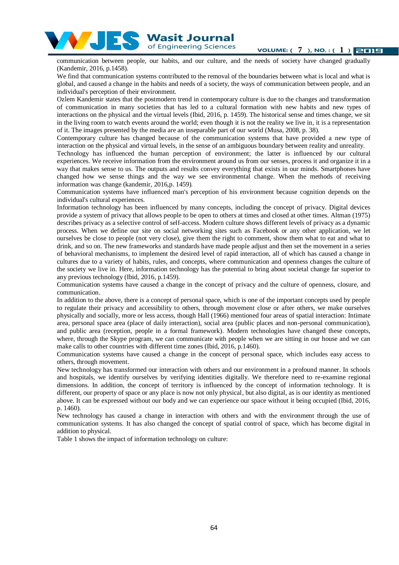

**VOLUME:** (7), NO. : (1) **2012** 

communication between people, our habits, and our culture, and the needs of society have changed gradually (Kandemir, 2016, p.1458).

We find that communication systems contributed to the removal of the boundaries between what is local and what is global, and caused a change in the habits and needs of a society, the ways of communication between people, and an individual's perception of their environment.

Ozlem Kandemir states that the postmodern trend in contemporary culture is due to the changes and transformation of communication in many societies that has led to a cultural formation with new habits and new types of interactions on the physical and the virtual levels (Ibid, 2016, p. 1459). The historical sense and times change, we sit in the living room to watch events around the world; even though it is not the reality we live in, it is a representation of it. The images presented by the media are an inseparable part of our world (Musa, 2008, p. 38).

Contemporary culture has changed because of the communication systems that have provided a new type of interaction on the physical and virtual levels, in the sense of an ambiguous boundary between reality and unreality.

Technology has influenced the human perception of environment; the latter is influenced by our cultural experiences. We receive information from the environment around us from our senses, process it and organize it in a way that makes sense to us. The outputs and results convey everything that exists in our minds. Smartphones have changed how we sense things and the way we see environmental change. When the methods of receiving information was change (kandemir, 2016,p. 1459).

Communication systems have influenced man's perception of his environment because cognition depends on the individual's cultural experiences.

Information technology has been influenced by many concepts, including the concept of privacy. Digital devices provide a system of privacy that allows people to be open to others at times and closed at other times. Altman (1975) describes privacy as a selective control of self-access. Modern culture shows different levels of privacy as a dynamic process. When we define our site on social networking sites such as Facebook or any other application, we let ourselves be close to people (not very close), give them the right to comment, show them what to eat and what to drink, and so on. The new frameworks and standards have made people adjust and then set the movement in a series of behavioral mechanisms, to implement the desired level of rapid interaction, all of which has caused a change in cultures due to a variety of habits, rules, and concepts, where communication and openness changes the culture of the society we live in. Here, information technology has the potential to bring about societal change far superior to any previous technology (Ibid, 2016, p.1459).

Communication systems have caused a change in the concept of privacy and the culture of openness, closure, and communication.

In addition to the above, there is a concept of personal space, which is one of the important concepts used by people to regulate their privacy and accessibility to others, through movement close or after others, we make ourselves physically and socially, more or less access, though Hall (1966) mentioned four areas of spatial interaction: Intimate area, personal space area (place of daily interaction), social area (public places and non-personal communication), and public area (reception, people in a formal framework). Modern technologies have changed these concepts, where, through the Skype program, we can communicate with people when we are sitting in our house and we can make calls to other countries with different time zones (Ibid, 2016, p.1460).

Communication systems have caused a change in the concept of personal space, which includes easy access to others, through movement.

New technology has transformed our interaction with others and our environment in a profound manner. In schools and hospitals, we identify ourselves by verifying identities digitally. We therefore need to re-examine regional dimensions. In addition, the concept of territory is influenced by the concept of information technology. It is different, our property of space or any place is now not only physical, but also digital, as is our identity as mentioned above. It can be expressed without our body and we can experience our space without it being occupied (Ibid, 2016, p. 1460).

New technology has caused a change in interaction with others and with the environment through the use of communication systems. It has also changed the concept of spatial control of space, which has become digital in addition to physical.

Table 1 shows the impact of information technology on culture: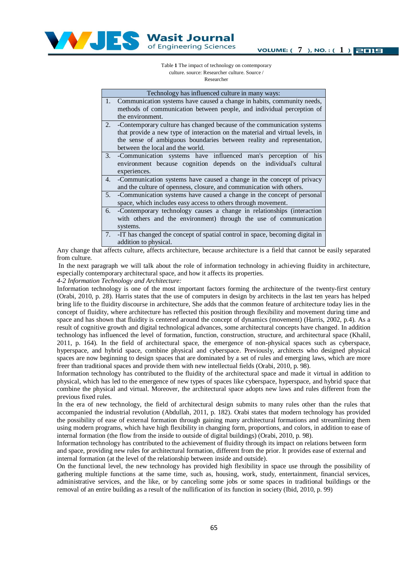

Table **1** The impact of technology on contemporary culture. source: Researcher culture. Source / Researcher

|    | Technology has influenced culture in many ways:                               |  |  |  |
|----|-------------------------------------------------------------------------------|--|--|--|
|    | 1. Communication systems have caused a change in habits, community needs,     |  |  |  |
|    | methods of communication between people, and individual perception of         |  |  |  |
|    | the environment.                                                              |  |  |  |
| 2. | -Contemporary culture has changed because of the communication systems        |  |  |  |
|    | that provide a new type of interaction on the material and virtual levels, in |  |  |  |
|    | the sense of ambiguous boundaries between reality and representation,         |  |  |  |
|    | between the local and the world.                                              |  |  |  |
|    | 3. - Communication systems have influenced man's perception of his            |  |  |  |
|    | environment because cognition depends on the individual's cultural            |  |  |  |
|    | experiences.                                                                  |  |  |  |
| 4. | -Communication systems have caused a change in the concept of privacy         |  |  |  |
|    | and the culture of openness, closure, and communication with others.          |  |  |  |
| 5. | -Communication systems have caused a change in the concept of personal        |  |  |  |
|    | space, which includes easy access to others through movement.                 |  |  |  |
| 6. | -Contemporary technology causes a change in relationships (interaction        |  |  |  |
|    | with others and the environment) through the use of communication             |  |  |  |
|    | systems.                                                                      |  |  |  |
| 7. | -IT has changed the concept of spatial control in space, becoming digital in  |  |  |  |
|    | addition to physical.                                                         |  |  |  |

Any change that affects culture, affects architecture, because architecture is a field that cannot be easily separated from culture.

In the next paragraph we will talk about the role of information technology in achieving fluidity in architecture, especially contemporary architectural space, and how it affects its properties.

*4-2 Information Technology and Architecture:*

Information technology is one of the most important factors forming the architecture of the twenty-first century (Orabi, 2010, p. 28). Harris states that the use of computers in design by architects in the last ten years has helped bring life to the fluidity discourse in architecture, She adds that the common feature of architecture today lies in the concept of fluidity, where architecture has reflected this position through flexibility and movement during time and space and has shown that fluidity is centered around the concept of dynamics (movement) (Harris, 2002, p.4). As a result of cognitive growth and digital technological advances, some architectural concepts have changed. In addition technology has influenced the level of formation, function, construction, structure, and architectural space (Khalil, 2011, p. 164). In the field of architectural space, the emergence of non-physical spaces such as cyberspace, hyperspace, and hybrid space, combine physical and cyberspace. Previously, architects who designed physical spaces are now beginning to design spaces that are dominated by a set of rules and emerging laws, which are more freer than traditional spaces and provide them with new intellectual fields (Orabi, 2010, p. 98).

Information technology has contributed to the fluidity of the architectural space and made it virtual in addition to physical, which has led to the emergence of new types of spaces like cyberspace, hyperspace, and hybrid space that combine the physical and virtual. Moreover, the architectural space adopts new laws and rules different from the previous fixed rules.

In the era of new technology, the field of architectural design submits to many rules other than the rules that accompanied the industrial revolution (Abdullah, 2011, p. 182). Orabi states that modern technology has provided the possibility of ease of external formation through gaining many architectural formations and streamlining them using modern programs, which have high flexibility in changing form, proportions, and colors, in addition to ease of internal formation (the flow from the inside to outside of digital buildings) (Orabi, 2010, p. 98).

Information technology has contributed to the achievement of fluidity through its impact on relations between form and space, providing new rules for architectural formation, different from the prior. It provides ease of external and internal formation (at the level of the relationship between inside and outside).

On the functional level, the new technology has provided high flexibility in space use through the possibility of gathering multiple functions at the same time, such as, housing, work, study, entertainment, financial services, administrative services, and the like, or by canceling some jobs or some spaces in traditional buildings or the removal of an entire building as a result of the nullification of its function in society (Ibid, 2010, p. 99)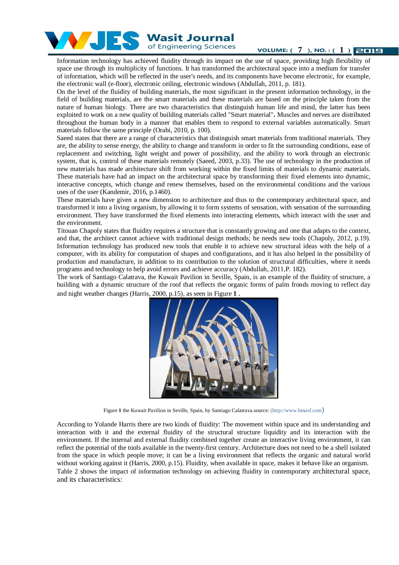

of Engineering Sciences

**VOLUME:**  $(7)$ , **NO.** :  $(1)$  **EILE** 

Information technology has achieved fluidity through its impact on the use of space, providing high flexibility of space use through its multiplicity of functions. It has transformed the architectural space into a medium for transfer of information, which will be reflected in the user's needs, and its components have become electronic, for example, the electronic wall (e-floor), electronic ceiling, electronic windows (Abdullah, 2011, p. 181).

On the level of the fluidity of building materials, the most significant in the present information technology, in the field of building materials, are the smart materials and these materials are based on the principle taken from the nature of human biology. There are two characteristics that distinguish human life and mind, the latter has been exploited to work on a new quality of building materials called "Smart material"**.** Muscles and nerves are distributed throughout the human body in a manner that enables them to respond to external variables automatically. Smart materials follow the same principle (Orabi, 2010, p. 100).

Saeed states that there are a range of characteristics that distinguish smart materials from traditional materials. They are, the ability to sense energy, the ability to change and transform in order to fit the surrounding conditions, ease of replacement and switching, light weight and power of possibility, and the ability to work through an electronic system, that is, control of these materials remotely (Saeed, 2003, p.33). The use of technology in the production of new materials has made architecture shift from working within the fixed limits of materials to dynamic materials. These materials have had an impact on the architectural space by transforming their fixed elements into dynamic, interactive concepts, which change and renew themselves, based on the environmental conditions and the various uses of the user (Kandemir, 2016, p.1460).

These materials have given a new dimension to architecture and thus to the contemporary architectural space, and transformed it into a living organism, by allowing it to form systems of sensation, with sensation of the surrounding environment. They have transformed the fixed elements into interacting elements, which interact with the user and the environment.

Titouan Chapoly states that fluidity requires a structure that is constantly growing and one that adapts to the context, and that, the architect cannot achieve with traditional design methods; he needs new tools (Chapoly, 2012, p.19). Information technology has produced new tools that enable it to achieve new structural ideas with the help of a computer, with its ability for computation of shapes and configurations, and it has also helped in the possibility of production and manufacture, in addition to its contribution to the solution of structural difficulties, where it needs programs and technology to help avoid errors and achieve accuracy (Abdullah, 2011,P. 182).

The work of Santiago Calatrava, the Kuwait Pavilion in Seville, Spain, is an example of the fluidity of structure, a building with a dynamic structure of the roof that reflects the organic forms of palm fronds moving to reflect day and night weather changes (Harris, 2000, p.15), as seen in Figure **1** .



Figure **1** the Kuwait Pavilion in Seville, Spain, by Santiago Calatrava.source: (http://www.bmasf.com)

According to Yolande Harris there are two kinds of fluidity: The movement within space and its understanding and interaction with it and the external fluidity of the structural structure liquidity and its interaction with the environment. If the internal and external fluidity combined together create an interactive living environment, it can reflect the potential of the tools available in the twenty-first century. Architecture does not need to be a shell isolated from the space in which people move; it can be a living environment that reflects the organic and natural world without working against it (Harris, 2000, p.15). Fluidity, when available in space, makes it behave like an organism. Table 2 shows the impact of information technology on achieving fluidity in contemporary architectural space, and its characteristics: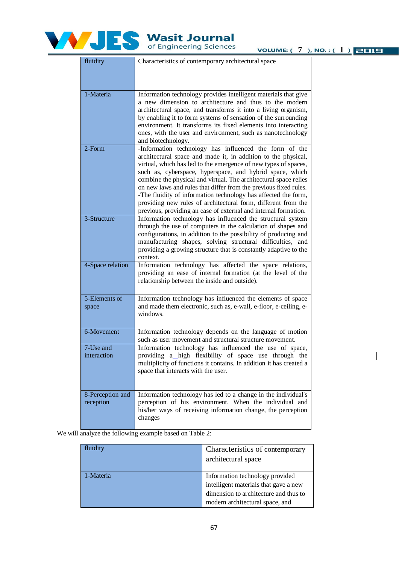

**VOLUME:**  $(7)$ , NO.:  $(1)$  **2012** 

| fluidity                      | Characteristics of contemporary architectural space                                                                                                                                                                                                                                                                                                                                                                                                                                                                                                                                                  |
|-------------------------------|------------------------------------------------------------------------------------------------------------------------------------------------------------------------------------------------------------------------------------------------------------------------------------------------------------------------------------------------------------------------------------------------------------------------------------------------------------------------------------------------------------------------------------------------------------------------------------------------------|
|                               |                                                                                                                                                                                                                                                                                                                                                                                                                                                                                                                                                                                                      |
| 1-Materia                     | Information technology provides intelligent materials that give<br>a new dimension to architecture and thus to the modern<br>architectural space, and transforms it into a living organism,<br>by enabling it to form systems of sensation of the surrounding<br>environment. It transforms its fixed elements into interacting<br>ones, with the user and environment, such as nanotechnology<br>and biotechnology.                                                                                                                                                                                 |
| 2-Form                        | -Information technology has influenced the form of the<br>architectural space and made it, in addition to the physical,<br>virtual, which has led to the emergence of new types of spaces,<br>such as, cyberspace, hyperspace, and hybrid space, which<br>combine the physical and virtual. The architectural space relies<br>on new laws and rules that differ from the previous fixed rules.<br>-The fluidity of information technology has affected the form,<br>providing new rules of architectural form, different from the<br>previous, providing an ease of external and internal formation. |
| 3-Structure                   | Information technology has influenced the structural system<br>through the use of computers in the calculation of shapes and<br>configurations, in addition to the possibility of producing and<br>manufacturing shapes, solving structural difficulties, and<br>providing a growing structure that is constantly adaptive to the<br>context.                                                                                                                                                                                                                                                        |
| 4-Space relation              | Information technology has affected the space relations,<br>providing an ease of internal formation (at the level of the<br>relationship between the inside and outside).                                                                                                                                                                                                                                                                                                                                                                                                                            |
| 5-Elements of<br>space        | Information technology has influenced the elements of space<br>and made them electronic, such as, e-wall, e-floor, e-ceiling, e-<br>windows.                                                                                                                                                                                                                                                                                                                                                                                                                                                         |
| 6-Movement                    | Information technology depends on the language of motion<br>such as user movement and structural structure movement.                                                                                                                                                                                                                                                                                                                                                                                                                                                                                 |
| 7-Use and<br>interaction      | Information technology has influenced the use of space,<br>providing a_high flexibility of space use through the<br>multiplicity of functions it contains. In addition it has created a<br>space that interacts with the user.                                                                                                                                                                                                                                                                                                                                                                       |
| 8-Perception and<br>reception | Information technology has led to a change in the individual's<br>perception of his environment. When the individual and<br>his/her ways of receiving information change, the perception<br>changes                                                                                                                                                                                                                                                                                                                                                                                                  |

We will analyze the following example based on Table 2:

| fluidity  | Characteristics of contemporary       |
|-----------|---------------------------------------|
|           | architectural space                   |
| 1-Materia | Information technology provided       |
|           | intelligent materials that gave a new |
|           | dimension to architecture and thus to |
|           | modern architectural space, and       |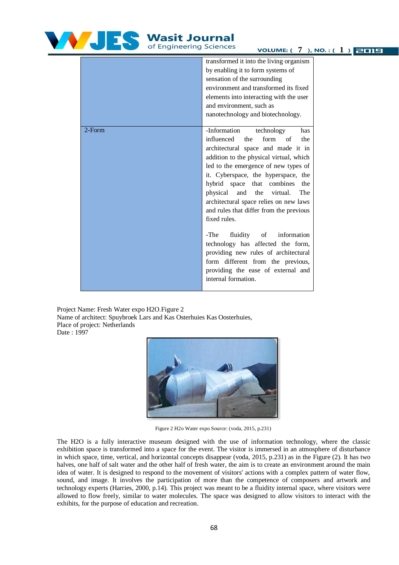

# Wasit Journal

**VOLUME:**  $(7)$ , NO.:  $(1)$  **2012** 

|           | transformed it into the living organism |
|-----------|-----------------------------------------|
|           | by enabling it to form systems of       |
|           | sensation of the surrounding            |
|           | environment and transformed its fixed   |
|           | elements into interacting with the user |
|           | and environment, such as                |
|           | nanotechnology and biotechnology.       |
|           |                                         |
| $2$ -Form | -Information<br>technology<br>has       |
|           | influenced<br>form of<br>the<br>the     |
|           | architectural space and made it in      |
|           | addition to the physical virtual, which |
|           | led to the emergence of new types of    |
|           | it. Cyberspace, the hyperspace, the     |
|           | hybrid space that combines<br>the       |
|           | physical<br>and<br>the virtual.<br>The  |
|           | architectural space relies on new laws  |
|           | and rules that differ from the previous |
|           | fixed rules.                            |
|           |                                         |
|           | fluidity<br>information<br>-The<br>of   |
|           | technology has affected the form,       |
|           | providing new rules of architectural    |
|           | form different from the previous,       |
|           | providing the ease of external and      |
|           | internal formation.                     |
|           |                                         |
|           |                                         |

Project Name: Fresh Water expo H2O.Figure 2 Name of architect: Spuybroek Lars and Kas Osterhuies Kas Oosterhuies, Place of project: Netherlands Date : 1997



Figure 2 H2o Water expo Source: (voda, 2015, p.231)

The H2O is a fully interactive museum designed with the use of information technology, where the classic exhibition space is transformed into a space for the event. The visitor is immersed in an atmosphere of disturbance in which space, time, vertical, and horizontal concepts disappear (voda, 2015, p.231) as in the Figure (2). It has two halves, one half of salt water and the other half of fresh water, the aim is to create an environment around the main idea of water. It is designed to respond to the movement of visitors' actions with a complex pattern of water flow, sound, and image. It involves the participation of more than the competence of composers and artwork and technology experts (Harries, 2000, p.14). This project was meant to be a fluidity internal space, where visitors were allowed to flow freely, similar to water molecules. The space was designed to allow visitors to interact with the exhibits, for the purpose of education and recreation.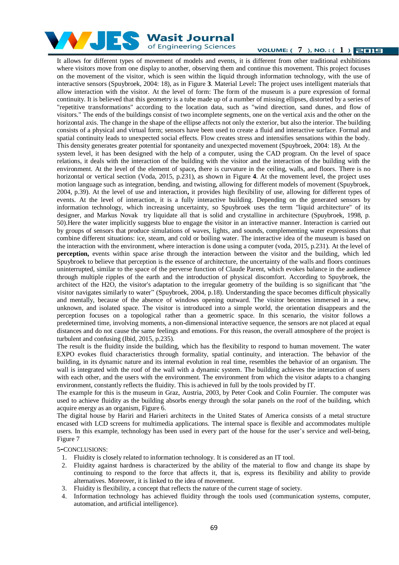

**VOLUME:**  $(7)$ , **NO.** :  $(1)$  **EILE** 

It allows for different types of movement of models and events, it is different from other traditional exhibitions where visitors move from one display to another, observing them and continue this movement. This project focuses on the movement of the visitor, which is seen within the liquid through information technology, with the use of interactive sensors (Spuybroek, 2004: 18), as in Figure **3**. Material Level**:** The project uses intelligent materials that allow interaction with the visitor. At the level of form: The form of the museum is a pure expression of formal continuity. It is believed that this geometry is a tube made up of a number of missing ellipses, distorted by a series of "repetitive transformations" according to the location data, such as "wind direction, sand dunes, and flow of visitors." The ends of the buildings consist of two incomplete segments, one on the vertical axis and the other on the horizontal axis. The change in the shape of the ellipse affects not only the exterior, but also the interior. The building consists of a physical and virtual form; sensors have been used to create a fluid and interactive surface. Formal and spatial continuity leads to unexpected social effects. Flow creates stress and intensifies sensations within the body. This density generates greater potential for spontaneity and unexpected movement (Spuybroek, 2004: 18). At the system level, it has been designed with the help of a computer, using the CAD program. On the level of space relations, it deals with the interaction of the building with the visitor and the interaction of the building with the environment. At the level of the element of space**,** there is curvature in the ceiling, walls, and floors. There is no horizontal or vertical section (Voda, 2015, p.231), as shown in Figure **4**. At the movement level, the project uses motion language such as integration, bending, and twisting, allowing for different models of movement (Spuybroek, 2004, p.39). At the level of use and interaction**,** it provides high flexibility of use, allowing for different types of events. At the level of interaction, it is a fully interactive building. Depending on the generated sensors by information technology, which increasing uncertainty, so Spuybroek uses the term "liquid architecture" of its designer, and Markus Novak try liquidate all that is solid and crystalline in architecture (Spuybroek, 1998, p. 50).Here the water implicitly suggests blue to engage the visitor in an interactive manner. Interaction is carried out by groups of sensors that produce simulations of waves, lights, and sounds, complementing water expressions that combine different situations: ice, steam, and cold or boiling water. The interactive idea of the museum is based on the interaction with the environment, where interaction is done using a computer (voda, 2015, p.231). At the level of **perception,** events within space arise through the interaction between the visitor and the building, which led Spuybroek to believe that perception is the essence of architecture, the uncertainty of the walls and floors continues uninterrupted, similar to the space of the perverse function of Claude Parent, which evokes balance in the audience through multiple ripples of the earth and the introduction of physical discomfort. According to Spuybroek, the architect of the H2O, the visitor's adaptation to the irregular geometry of the building is so significant that "the visitor navigates similarly to water" (Spuybroek, 2004, p.18). Understanding the space becomes difficult physically and mentally, because of the absence of windows opening outward. The visitor becomes immersed in a new, unknown, and isolated space. The visitor is introduced into a simple world, the orientation disappears and the perception focuses on a topological rather than a geometric space. In this scenario, the visitor follows a predetermined time, involving moments, a non-dimensional interactive sequence, the sensors are not placed at equal distances and do not cause the same feelings and emotions. For this reason, the overall atmosphere of the project is turbulent and confusing (Ibid, 2015, p.235).

The result is the fluidity inside the building, which has the flexibility to respond to human movement. The water EXPO evokes fluid characteristics through formality, spatial continuity, and interaction. The behavior of the building, in its dynamic nature and its internal evolution in real time, resembles the behavior of an organism. The wall is integrated with the roof of the wall with a dynamic system. The building achieves the interaction of users with each other, and the users with the environment. The environment from which the visitor adapts to a changing environment, constantly reflects the fluidity. This is achieved in full by the tools provided by IT.

The example for this is the museum in Graz, Austria, 2003, by Peter Cook and Colin Fournier. The computer was used to achieve fluidity as the building absorbs energy through the solar panels on the roof of the building, which acquire energy as an organism, Figure 6.

The digital house by Hariri and Harieri architects in the United States of America consists of a metal structure encased with LCD screens for multimedia applications. The internal space is flexible and accommodates multiple users. In this example, technology has been used in every part of the house for the user's service and well-being, Figure 7

5**-**CONCLUSIONS:

- 1. Fluidity is closely related to information technology. It is considered as an IT tool.
- 2. Fluidity against hardness is characterized by the ability of the material to flow and change its shape by continuing to respond to the force that affects it, that is, express its flexibility and ability to provide alternatives. Moreover, it is linked to the idea of movement.
- 3. Fluidity is flexibility, a concept that reflects the nature of the current stage of society.
- 4. Information technology has achieved fluidity through the tools used (communication systems, computer, automation, and artificial intelligence).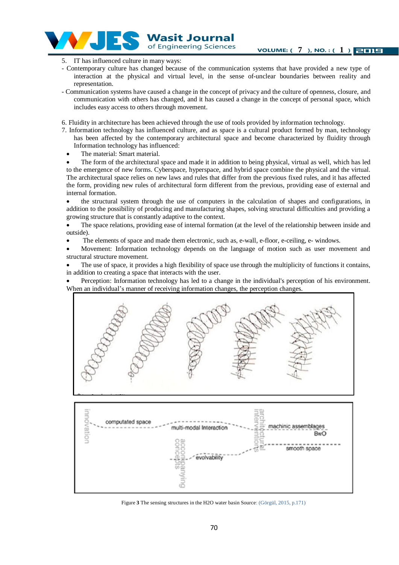Wasit Journal of Engineering Sciences

- 5. IT has influenced culture in many ways:
- Contemporary culture has changed because of the communication systems that have provided a new type of interaction at the physical and virtual level, in the sense of-unclear boundaries between reality and representation.
- Communication systems have caused a change in the concept of privacy and the culture of openness, closure, and communication with others has changed, and it has caused a change in the concept of personal space, which includes easy access to others through movement.
- 6. Fluidity in architecture has been achieved through the use of tools provided by information technology.
- 7. Information technology has influenced culture, and as space is a cultural product formed by man, technology has been affected by the contemporary architectural space and become characterized by fluidity through Information technology has influenced:
	- The material: Smart material.

 The form of the architectural space and made it in addition to being physical, virtual as well, which has led to the emergence of new forms. Cyberspace, hyperspace, and hybrid space combine the physical and the virtual. The architectural space relies on new laws and rules that differ from the previous fixed rules, and it has affected the form, providing new rules of architectural form different from the previous, providing ease of external and internal formation.

 the structural system through the use of computers in the calculation of shapes and configurations, in addition to the possibility of producing and manufacturing shapes, solving structural difficulties and providing a growing structure that is constantly adaptive to the context.

 The space relations, providing ease of internal formation (at the level of the relationship between inside and outside).

- The elements of space and made them electronic, such as, e-wall, e-floor, e-ceiling, e- windows.
- Movement: Information technology depends on the language of motion such as user movement and structural structure movement.

 The use of space, it provides a high flexibility of space use through the multiplicity of functions it contains, in addition to creating a space that interacts with the user.

 Perception: Information technology has led to a change in the individual's perception of his environment. When an individual's manner of receiving information changes, the perception changes.





Figure **3** The sensing structures in the H2O water basin Source: (Görgül, 2015, p.171)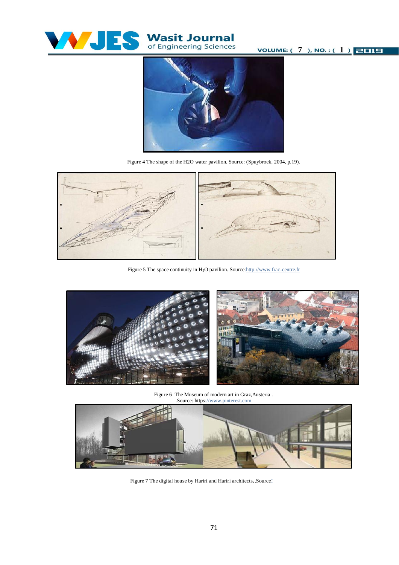

**VOLUME:**  $(7)$ , NO. :  $(1)$  **2011** 



Figure 4 The shape of the H2O water pavilion. Source: (Spuybroek, 2004, p.19).



Figure 5 The space continuity in H<sub>2</sub>O pavilion. Source: http://www.frac-centre.fr



Figure 6 The Museum of modern art in Graz,Austeria . .Source: https://www.pinterest.com



Figure 7 The digital house by Hariri and Hariri architects..Source: